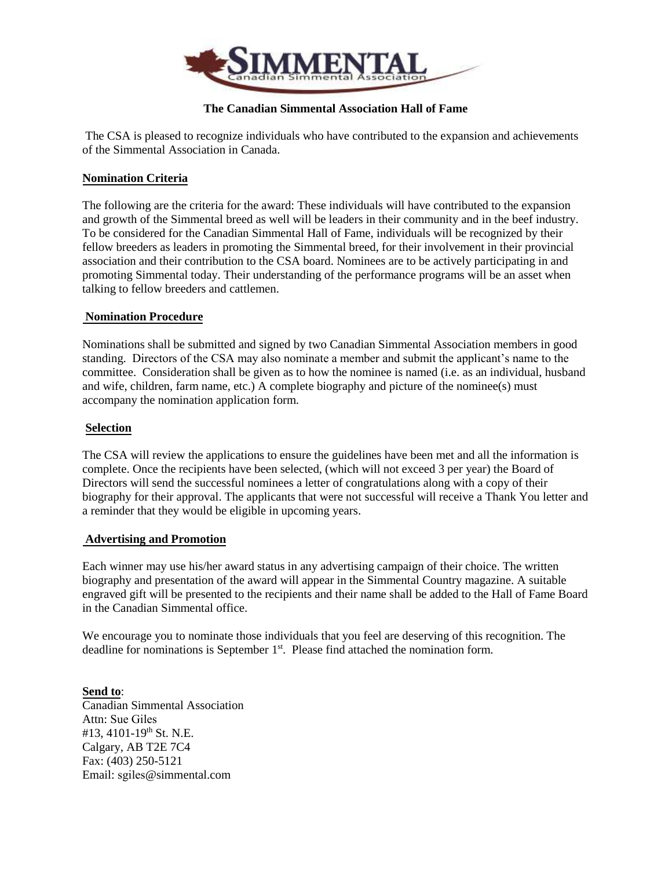

# **The Canadian Simmental Association Hall of Fame**

 The CSA is pleased to recognize individuals who have contributed to the expansion and achievements of the Simmental Association in Canada.

## **Nomination Criteria**

The following are the criteria for the award: These individuals will have contributed to the expansion and growth of the Simmental breed as well will be leaders in their community and in the beef industry. To be considered for the Canadian Simmental Hall of Fame, individuals will be recognized by their fellow breeders as leaders in promoting the Simmental breed, for their involvement in their provincial association and their contribution to the CSA board. Nominees are to be actively participating in and promoting Simmental today. Their understanding of the performance programs will be an asset when talking to fellow breeders and cattlemen.

### **Nomination Procedure**

Nominations shall be submitted and signed by two Canadian Simmental Association members in good standing. Directors of the CSA may also nominate a member and submit the applicant's name to the committee. Consideration shall be given as to how the nominee is named (i.e. as an individual, husband and wife, children, farm name, etc.) A complete biography and picture of the nominee(s) must accompany the nomination application form.

#### **Selection**

The CSA will review the applications to ensure the guidelines have been met and all the information is complete. Once the recipients have been selected, (which will not exceed 3 per year) the Board of Directors will send the successful nominees a letter of congratulations along with a copy of their biography for their approval. The applicants that were not successful will receive a Thank You letter and a reminder that they would be eligible in upcoming years.

### **Advertising and Promotion**

Each winner may use his/her award status in any advertising campaign of their choice. The written biography and presentation of the award will appear in the Simmental Country magazine. A suitable engraved gift will be presented to the recipients and their name shall be added to the Hall of Fame Board in the Canadian Simmental office.

We encourage you to nominate those individuals that you feel are deserving of this recognition. The deadline for nominations is September 1<sup>st</sup>. Please find attached the nomination form.

**Send to**: Canadian Simmental Association Attn: Sue Giles #13, 4101-19<sup>th</sup> St. N.E. Calgary, AB T2E 7C4 Fax: (403) 250-5121 Email: sgiles@simmental.com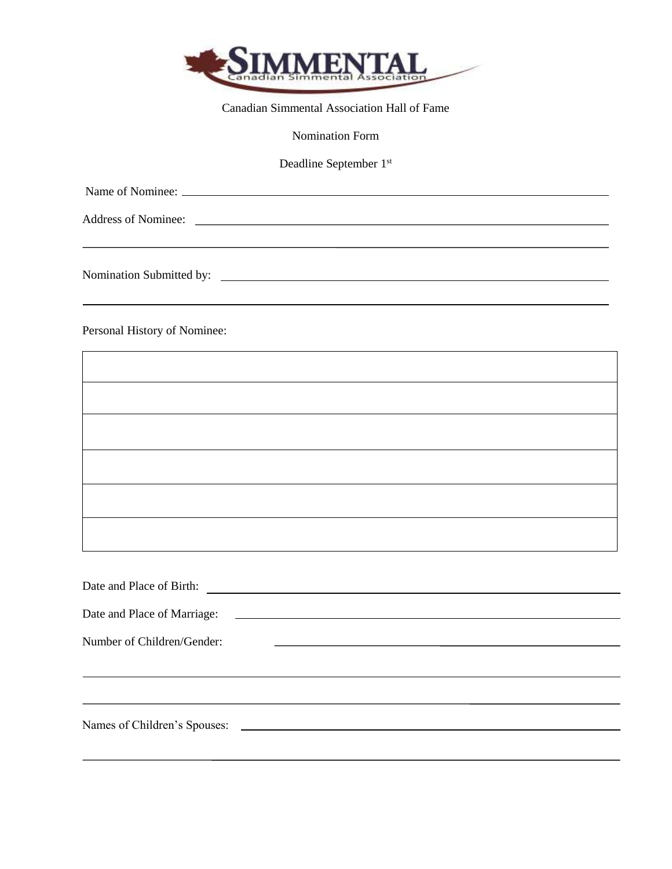

Canadian Simmental Association Hall of Fame

Nomination Form

Deadline September 1<sup>st</sup>

Name of Nominee:

Address of Nominee:

Nomination Submitted by:

Personal History of Nominee:

Date and Place of Birth: Date and Place of Marriage: Number of Children/Gender: <u> 1980 - Andrea Station, amerikansk politik (d. 1980)</u> Names of Children's Spouses: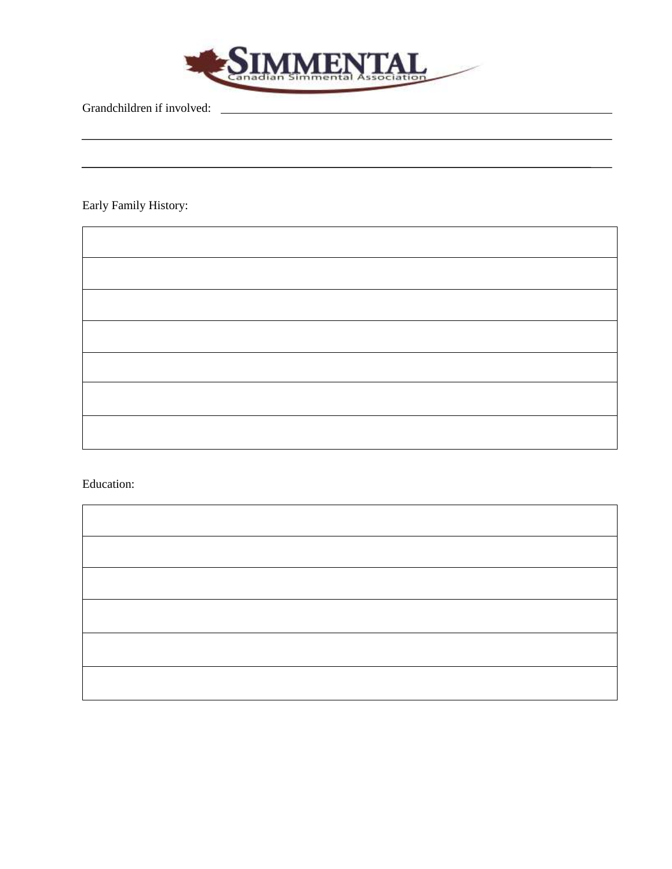

Grandchildren if involved:

Early Family History:

Ē

÷,

Education:

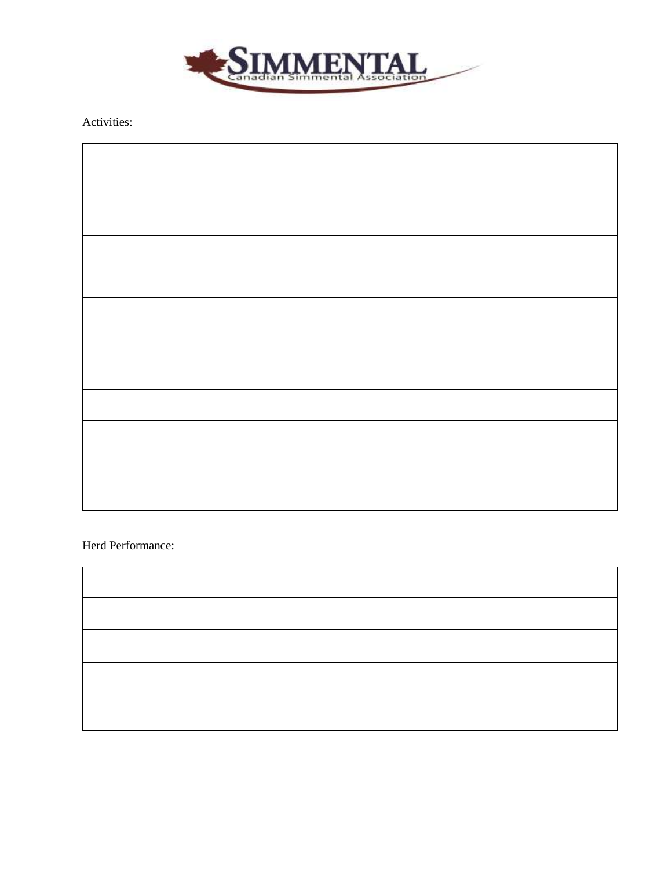

Activities:

Herd Performance:

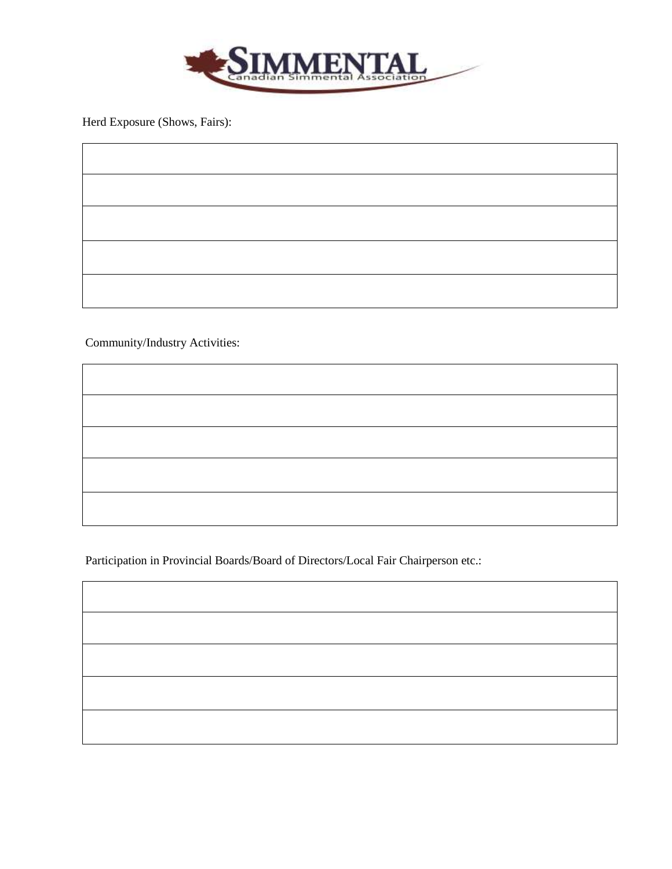

Herd Exposure (Shows, Fairs):

Community/Industry Activities:

Participation in Provincial Boards/Board of Directors/Local Fair Chairperson etc.: